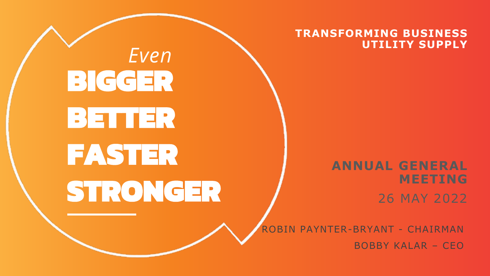

**TRANSFORMING BUSINESS UTILITY SUPPLY**

> **ANNUAL GENERAL MEETING**

> > 26 MAY 2022

ROBIN PAYNTER-BRYANT - CHAIRMAN BOBBY KALAR – CEO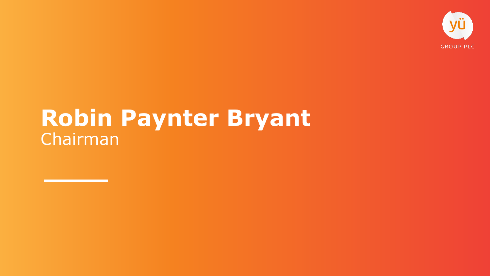

#### **Robin Paynter Bryant** Chairman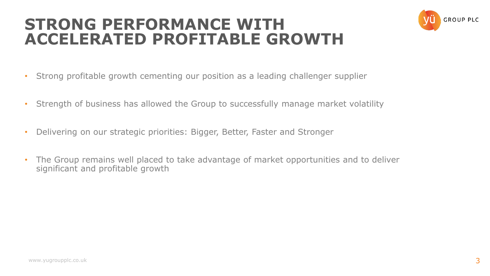#### **STRONG PERFORMANCE WITH ACCELERATED PROFITABLE GROWTH**



- Strong profitable growth cementing our position as a leading challenger supplier
- Strength of business has allowed the Group to successfully manage market volatility
- Delivering on our strategic priorities: Bigger, Better, Faster and Stronger
- The Group remains well placed to take advantage of market opportunities and to deliver significant and profitable growth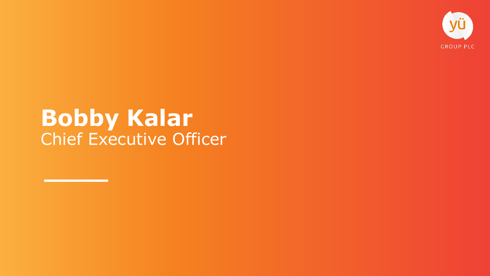

#### **Bobby Kalar** Chief Executive Officer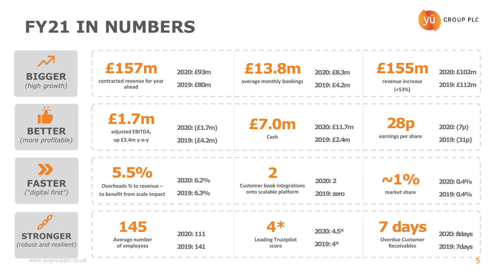#### **FY21 IN NUMBERS**

**Average number of employees**

**2019: 141**



 $\boldsymbol{\mathcal{N}}$ **£157m £13.8m £155m 2020: £93m 2020: £8.3m 2020: £102m BIGGER contracted revenue for year average monthly bookings revenue increase 2019: £80m 2019: £112m 2019: £4.2m** *(high growth)* **ahead (+53%) £1.7m 28p £7.0m 2020: £11.7m 2020: (£1.7m) 2020: (7p) BETTER adjusted EBITDA, earnings per share Cash** *(more profitable)* **2019: (£4.2m) 2019: £2.4m 2019: (31p) up £3.4m y-o-y**  $\sum$ **5.5% 2 ~1% 2020: 6.2% 2020: 2 2020: 0.4% FASTER Overheads % to revenue – Customer book integrations**  *("digital first")* **onto scalable platform market share 2019: 6.3% 2019: zero to benefit from scale impact 2019: 0.4% 145 4\* 7 days 2020: 4.5\* 2020: 8days 2020: 111 STRONGER**

**Leading Trustpilot score**

**2019: 4\***

www.yugroupplc.co.uk

*(robust and resilient)*

5

**2019: 7days**

**Overdue Customer Receivables**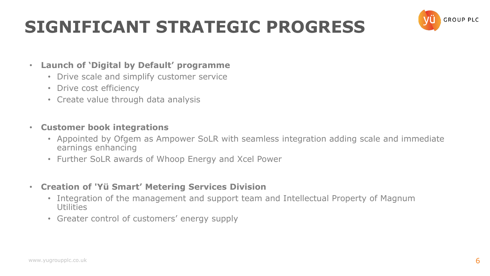### **SIGNIFICANT STRATEGIC PROGRESS**



#### • **Launch of 'Digital by Default' programme**

- Drive scale and simplify customer service
- Drive cost efficiency
- Create value through data analysis
- **Customer book integrations** 
	- Appointed by Ofgem as Ampower SoLR with seamless integration adding scale and immediate earnings enhancing
	- Further SoLR awards of Whoop Energy and Xcel Power
- **Creation of 'Yü Smart' Metering Services Division** 
	- Integration of the management and support team and Intellectual Property of Magnum **Utilities**
	- Greater control of customers' energy supply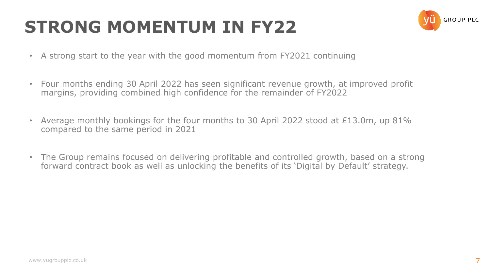## **STRONG MOMENTUM IN FY22**



- A strong start to the year with the good momentum from FY2021 continuing
- Four months ending 30 April 2022 has seen significant revenue growth, at improved profit margins, providing combined high confidence for the remainder of FY2022
- Average monthly bookings for the four months to 30 April 2022 stood at £13.0m, up 81% compared to the same period in 2021
- The Group remains focused on delivering profitable and controlled growth, based on a strong forward contract book as well as unlocking the benefits of its 'Digital by Default' strategy.